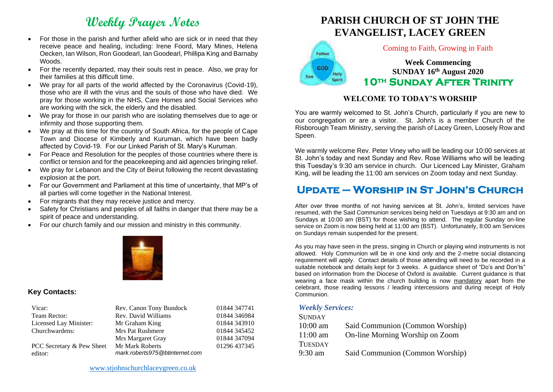# **Weekly Prayer Notes**

- For those in the parish and further afield who are sick or in need that they receive peace and healing, including: Irene Foord, Mary Mines, Helena Oecken, Ian Wilson, Ron Goodearl, Ian Goodearl, Phillipa King and Barnaby Woods.
- For the recently departed, may their souls rest in peace. Also, we pray for their families at this difficult time.
- We pray for all parts of the world affected by the Coronavirus (Covid-19), those who are ill with the virus and the souls of those who have died. We pray for those working in the NHS, Care Homes and Social Services who are working with the sick, the elderly and the disabled.
- We pray for those in our parish who are isolating themselves due to age or infirmity and those supporting them.
- We pray at this time for the country of South Africa, for the people of Cape Town and Diocese of Kimberly and Kuruman, which have been badly affected by Covid-19. For our Linked Parish of St. Mary's Kuruman.
- For Peace and Resolution for the peoples of those countries where there is conflict or tension and for the peacekeeping and aid agencies bringing relief.
- We pray for Lebanon and the City of Beirut following the recent devastating explosion at the port.
- For our Government and Parliament at this time of uncertainty, that MP's of all parties will come together in the National Interest.
- For migrants that they may receive justice and mercy.
- Safety for Christians and peoples of all faiths in danger that there may be a spirit of peace and understanding.
- For our church family and our mission and ministry in this community.



### **Key Contacts:**

| Vicar:                               | Rev. Canon Tony Bundock                           | 01844 347741 |
|--------------------------------------|---------------------------------------------------|--------------|
| Team Rector:                         | Rev. David Williams                               | 01844 346984 |
| Licensed Lay Minister:               | Mr Graham King                                    | 01844 343910 |
| Churchwardens:                       | Mrs Pat Rushmere                                  | 01844 345452 |
|                                      | Mrs Margaret Gray                                 | 01844 347094 |
| PCC Secretary & Pew Sheet<br>editor: | Mr Mark Roberts<br>mark.roberts975@btinternet.com | 01296 437345 |





#### Coming to Faith, Growing in Faith

**Week Commencing SUNDAY 16th August 2020 10th Sunday After Trinity** 

### **WELCOME TO TODAY'S WORSHIP**

You are warmly welcomed to St. John's Church, particularly if you are new to our congregation or are a visitor. St. John's is a member Church of the Risborough Team Ministry, serving the parish of Lacey Green, Loosely Row and Speen.

We warmly welcome Rev. Peter Viney who will be leading our 10:00 services at St. John's today and next Sunday and Rev. Rose Williams who will be leading this Tuesday's 9:30 am service in church. Our Licenced Lay Minister, Graham King, will be leading the 11:00 am services on Zoom today and next Sunday.

# **Update – Worship in St John's Church**

After over three months of not having services at St. John's, limited services have resumed, with the Said Communion services being held on Tuesdays at 9:30 am and on Sundays at 10:00 am (BST) for those wishing to attend. The regular Sunday on-line service on Zoom is now being held at 11:00 am (BST). Unfortunately, 8:00 am Services on Sundays remain suspended for the present.

As you may have seen in the press, singing in Church or playing wind instruments is not allowed. Holy Communion will be in one kind only and the 2-metre social distancing requirement will apply. Contact details of those attending will need to be recorded in a suitable notebook and details kept for 3 weeks. A guidance sheet of "Do's and Don'ts" based on information from the Diocese of Oxford is available. Current guidance is that wearing a face mask within the church building is now mandatory apart from the celebrant, those reading lessons / leading intercessions and during receipt of Holy Communion.

#### *Weekly Services:*

| <b>SUNDAY</b>  |                                 |
|----------------|---------------------------------|
| $10:00$ am     | Said Communion (Common Worship) |
| $11:00$ am     | On-line Morning Worship on Zoom |
| <b>TUESDAY</b> |                                 |
| 9:30 am        | Said Communion (Common Worship) |